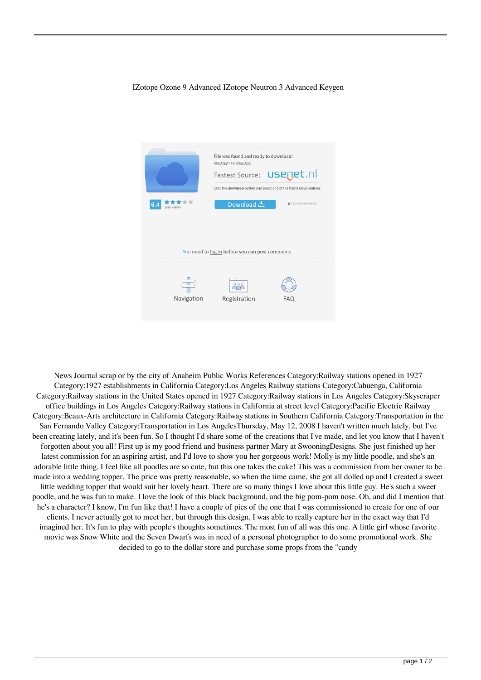## IZotope Ozone 9 Advanced IZotope Neutron 3 Advanced Keygen



News Journal scrap or by the city of Anaheim Public Works References Category:Railway stations opened in 1927 Category:1927 establishments in California Category:Los Angeles Railway stations Category:Cahuenga, California Category:Railway stations in the United States opened in 1927 Category:Railway stations in Los Angeles Category:Skyscraper office buildings in Los Angeles Category:Railway stations in California at street level Category:Pacific Electric Railway Category:Beaux-Arts architecture in California Category:Railway stations in Southern California Category:Transportation in the San Fernando Valley Category:Transportation in Los AngelesThursday, May 12, 2008 I haven't written much lately, but I've been creating lately, and it's been fun. So I thought I'd share some of the creations that I've made, and let you know that I haven't forgotten about you all! First up is my good friend and business partner Mary at SwooningDesigns. She just finished up her latest commission for an aspiring artist, and I'd love to show you her gorgeous work! Molly is my little poodle, and she's an adorable little thing. I feel like all poodles are so cute, but this one takes the cake! This was a commission from her owner to be made into a wedding topper. The price was pretty reasonable, so when the time came, she got all dolled up and I created a sweet little wedding topper that would suit her lovely heart. There are so many things I love about this little guy. He's such a sweet poodle, and he was fun to make. I love the look of this black background, and the big pom-pom nose. Oh, and did I mention that he's a character? I know, I'm fun like that! I have a couple of pics of the one that I was commissioned to create for one of our clients. I never actually got to meet her, but through this design, I was able to really capture her in the exact way that I'd imagined her. It's fun to play with people's thoughts sometimes. The most fun of all was this one. A little girl whose favorite movie was Snow White and the Seven Dwarfs was in need of a personal photographer to do some promotional work. She decided to go to the dollar store and purchase some props from the "candy